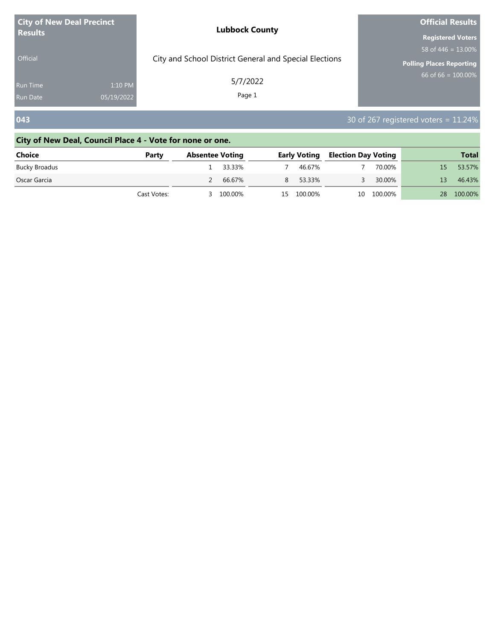| <b>City of New Deal Precinct</b><br><b>Results</b><br>Official |                       | <b>Lubbock County</b>                                  | <b>Official Results</b>                                                              |
|----------------------------------------------------------------|-----------------------|--------------------------------------------------------|--------------------------------------------------------------------------------------|
|                                                                |                       | City and School District General and Special Elections | <b>Registered Voters</b><br>58 of 446 = $13.00\%$<br><b>Polling Places Reporting</b> |
| Run Time<br><b>Run Date</b>                                    | 1:10 PM<br>05/19/2022 | 5/7/2022<br>Page 1                                     | $66$ of 66 = $100.00\%$                                                              |
| 043                                                            |                       |                                                        | 30 of 267 registered voters = $11.24\%$                                              |

# **City of New Deal, Council Place 4 - Vote for none or one.**

| Choice        | Party       | <b>Absentee Voting</b> |          | Early Voting | <b>Election Day Voting</b> |            |    | <b>Total</b> |
|---------------|-------------|------------------------|----------|--------------|----------------------------|------------|----|--------------|
| Bucky Broadus |             |                        | 1 33.33% | 46 67%       |                            | 70.00%     | 15 | 53.57%       |
| Oscar Garcia  |             |                        | 66.67%   | 53.33%       |                            | 30.00%     | 13 | 46.43%       |
|               | Cast Votes: |                        | 100.00%  | 15 100.00%   |                            | 10 100.00% | 28 | 100.00%      |